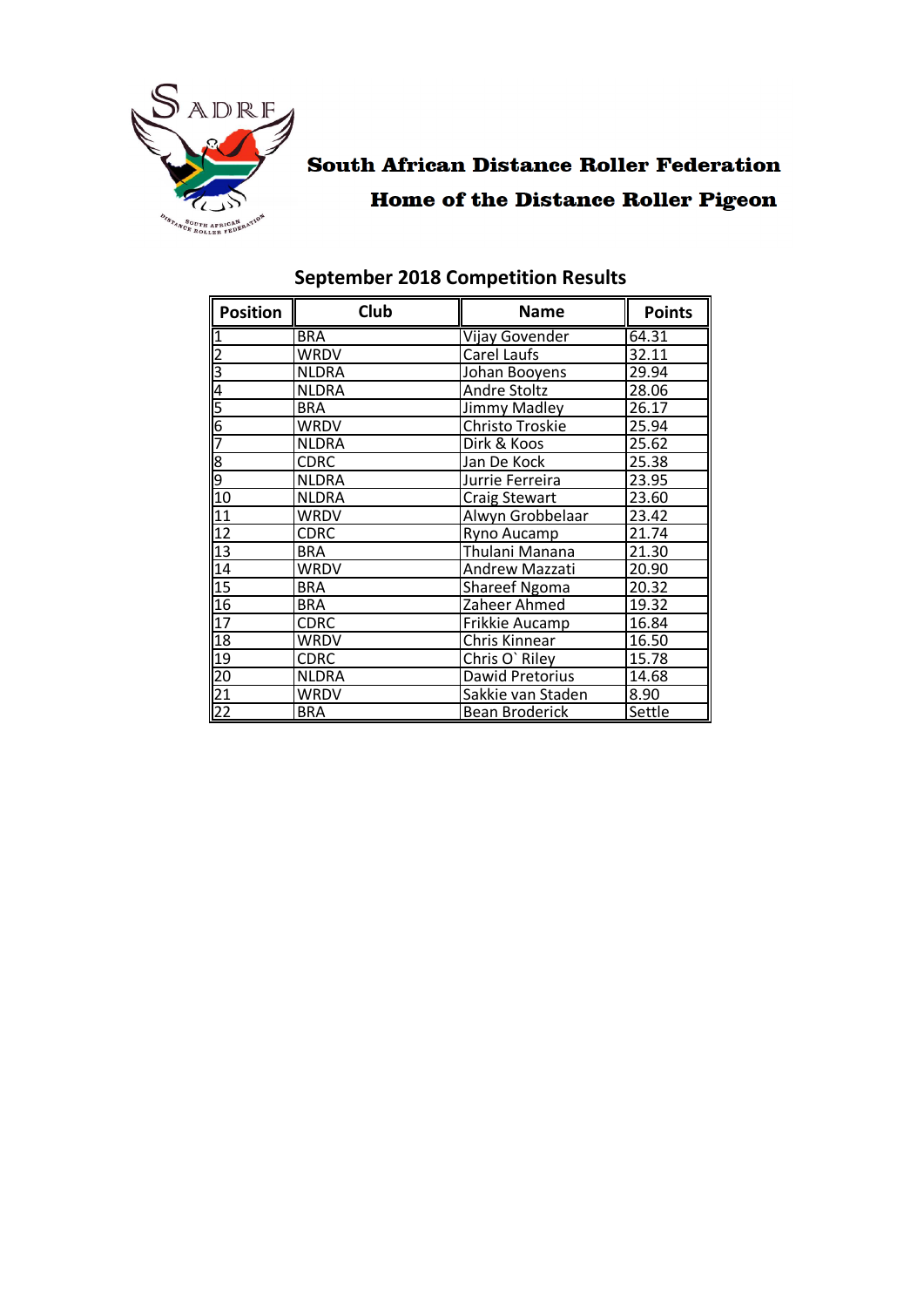

# **South African Distance Roller Federation Home of the Distance Roller Pigeon**

| <b>Position</b>                               | Club         | <b>Name</b>                     | <b>Points</b> |
|-----------------------------------------------|--------------|---------------------------------|---------------|
|                                               | <b>BRA</b>   | Vijay Govender                  | 64.31         |
|                                               | <b>WRDV</b>  | Carel Laufs                     | 32.11         |
| $\frac{2}{3}$                                 | <b>NLDRA</b> | Johan Booyens                   | 29.94         |
| 4                                             | <b>NLDRA</b> | <b>Andre Stoltz</b>             | 28.06         |
| 5                                             | <b>BRA</b>   | Jimmy Madley                    | 26.17         |
| $\frac{6}{7}$                                 | WRDV         | Christo Troskie                 | 25.94         |
|                                               | <b>NLDRA</b> | Dirk & Koos                     | 25.62         |
| စတြ                                           | <b>CDRC</b>  | Jan De Kock                     | 25.38         |
|                                               | <b>NLDRA</b> | Jurrie Ferreira                 | 23.95         |
| 10                                            | <b>NLDRA</b> | <b>Craig Stewart</b>            | 23.60         |
| 11                                            | WRDV         | Alwyn Grobbelaar                | 23.42         |
| $\frac{12}{13}$                               | <b>CDRC</b>  | Ryno Aucamp                     | 21.74         |
|                                               | <b>BRA</b>   | Thulani Manana                  | 21.30         |
| 14                                            | <b>WRDV</b>  | Andrew Mazzati                  | 20.90         |
| 15                                            | <b>BRA</b>   | <b>Shareef Ngoma</b>            | 20.32         |
| 16                                            | <b>BRA</b>   | Zaheer Ahmed                    | 19.32         |
| 17                                            | <b>CDRC</b>  | Frikkie Aucamp                  | 16.84         |
| 18                                            | WRDV         | Chris Kinnear                   | 16.50         |
| 19                                            | <b>CDRC</b>  | Chris O' Riley                  | 15.78         |
|                                               | <b>NLDRA</b> | Dawid Pretorius                 | 14.68         |
|                                               | <b>WRDV</b>  | Sakkie van Staden<br>8.90       |               |
| $\begin{array}{r} 20 \\ 21 \\ 22 \end{array}$ | <b>BRA</b>   | Settle<br><b>Bean Broderick</b> |               |

### **September 2018 Competition Results**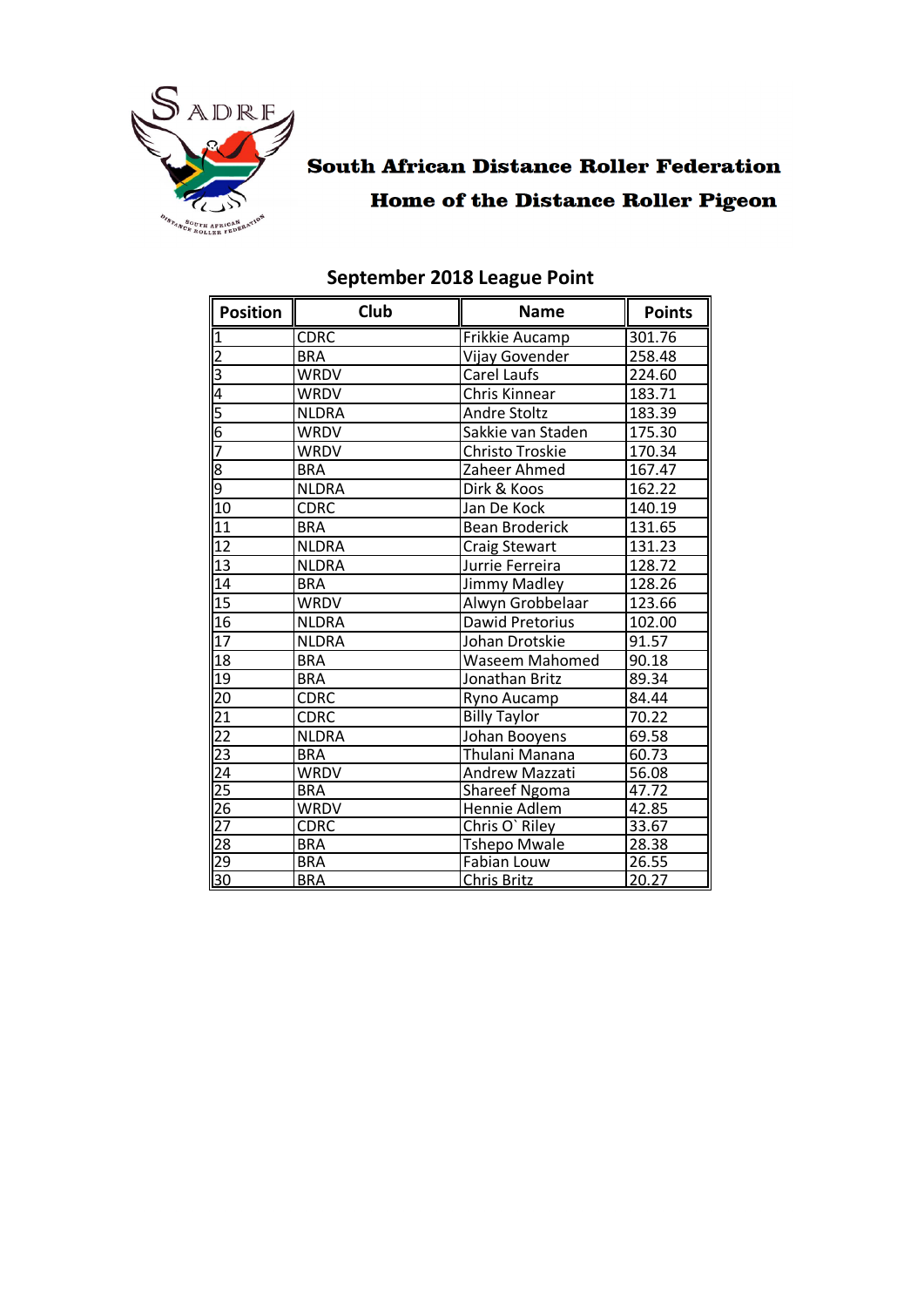

### **South African Distance Roller Federation Home of the Distance Roller Pigeon**

| <b>Position</b>                                         | <b>Club</b>  | <b>Name</b>                   | <b>Points</b> |
|---------------------------------------------------------|--------------|-------------------------------|---------------|
| $\overline{1}$                                          | <b>CDRC</b>  | Frikkie Aucamp                | 301.76        |
|                                                         | <b>BRA</b>   | Vijay Govender                | 258.48        |
|                                                         | <b>WRDV</b>  | Carel Laufs                   | 224.60        |
| $\frac{2}{3}$ $\frac{3}{4}$ $\frac{6}{5}$ $\frac{6}{7}$ | <b>WRDV</b>  | Chris Kinnear                 | 183.71        |
|                                                         | <b>NLDRA</b> | <b>Andre Stoltz</b>           | 183.39        |
|                                                         | <b>WRDV</b>  | Sakkie van Staden             | 175.30        |
|                                                         | <b>WRDV</b>  | Christo Troskie               | 170.34        |
| $\frac{8}{9}$                                           | <b>BRA</b>   | Zaheer Ahmed                  | 167.47        |
|                                                         | <b>NLDRA</b> | Dirk & Koos                   | 162.22        |
| 10                                                      | <b>CDRC</b>  | Jan De Kock                   | 140.19        |
| 11                                                      | <b>BRA</b>   | <b>Bean Broderick</b>         | 131.65        |
| 12                                                      | <b>NLDRA</b> | <b>Craig Stewart</b>          | 131.23        |
| $\overline{13}$                                         | <b>NLDRA</b> | Jurrie Ferreira               | 128.72        |
| 14                                                      | <b>BRA</b>   | <b>Jimmy Madley</b>           | 128.26        |
| $\overline{15}$                                         | <b>WRDV</b>  | Alwyn Grobbelaar              | 123.66        |
| $\overline{16}$                                         | <b>NLDRA</b> | Dawid Pretorius               | 102.00        |
| $\overline{17}$                                         | <b>NLDRA</b> | Johan Drotskie                | 91.57         |
| 18                                                      | <b>BRA</b>   | <b>Waseem Mahomed</b>         | 90.18         |
| 19                                                      | <b>BRA</b>   | Jonathan Britz                | 89.34         |
| 20                                                      | <b>CDRC</b>  | Ryno Aucamp                   | 84.44         |
|                                                         | <b>CDRC</b>  | <b>Billy Taylor</b><br>70.22  |               |
|                                                         | <b>NLDRA</b> | Johan Booyens                 | 69.58         |
|                                                         | <b>BRA</b>   | Thulani Manana                | 60.73         |
|                                                         | <b>WRDV</b>  | Andrew Mazzati                | 56.08         |
|                                                         | <b>BRA</b>   | 47.72<br><b>Shareef Ngoma</b> |               |
|                                                         | <b>WRDV</b>  | Hennie Adlem                  | 42.85         |
|                                                         | <b>CDRC</b>  | Chris O' Riley<br>33.67       |               |
|                                                         | <b>BRA</b>   | <b>Tshepo Mwale</b><br>28.38  |               |
|                                                         | <b>BRA</b>   | 26.55<br>Fabian Louw          |               |
|                                                         | <b>BRA</b>   | 20.27<br><b>Chris Britz</b>   |               |

#### **September 2018 League Point**